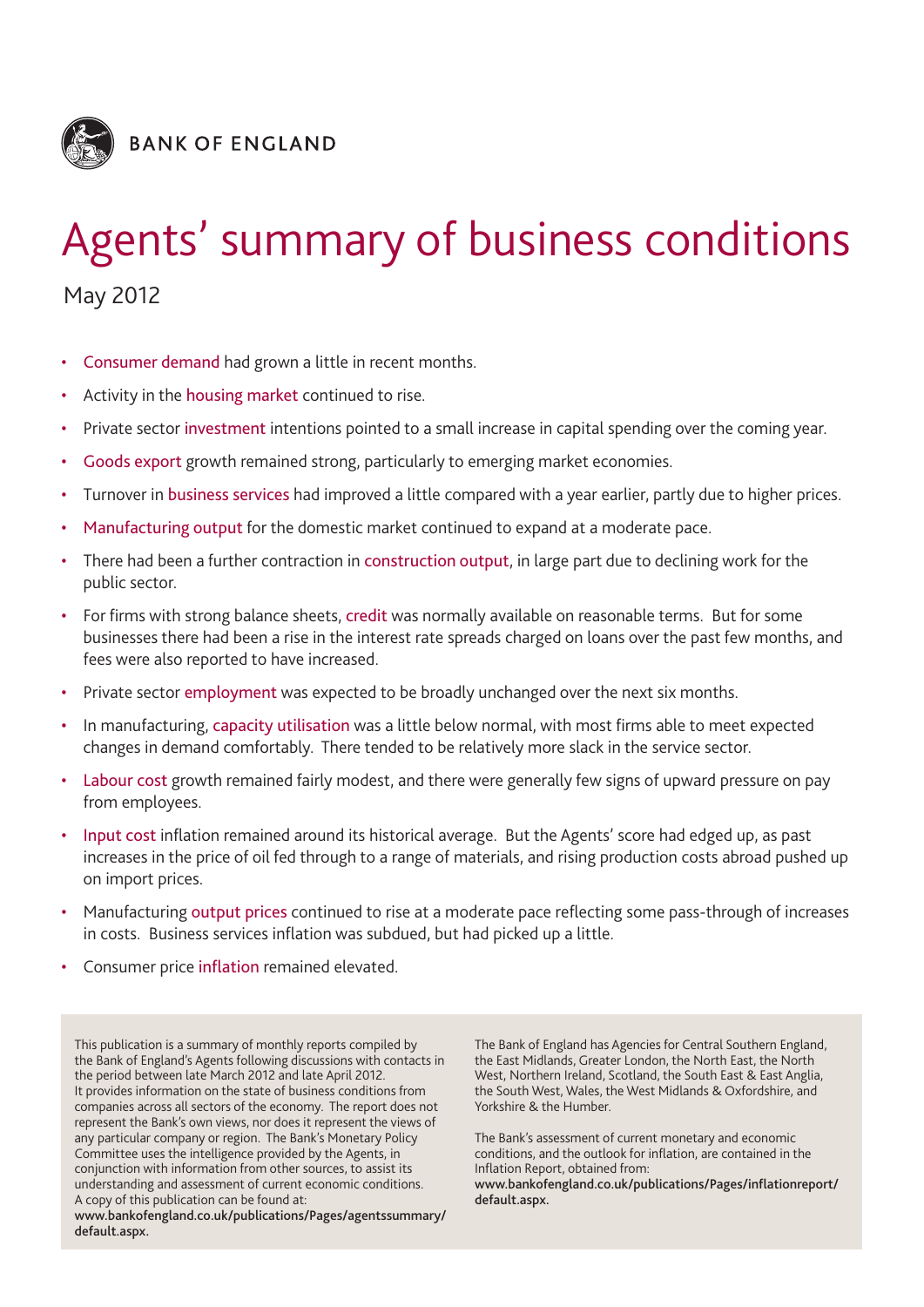

# Agents' summary of business conditions

May 2012

- Consumer demand had grown a little in recent months.
- Activity in the housing market continued to rise.
- Private sector investment intentions pointed to a small increase in capital spending over the coming year.
- Goods export growth remained strong, particularly to emerging market economies.
- Turnover in business services had improved a little compared with a year earlier, partly due to higher prices.
- Manufacturing output for the domestic market continued to expand at a moderate pace.
- There had been a further contraction in construction output, in large part due to declining work for the public sector.
- For firms with strong balance sheets, credit was normally available on reasonable terms. But for some businesses there had been a rise in the interest rate spreads charged on loans over the past few months, and fees were also reported to have increased.
- Private sector employment was expected to be broadly unchanged over the next six months.
- In manufacturing, capacity utilisation was a little below normal, with most firms able to meet expected changes in demand comfortably. There tended to be relatively more slack in the service sector.
- Labour cost growth remained fairly modest, and there were generally few signs of upward pressure on pay from employees.
- Input cost inflation remained around its historical average. But the Agents' score had edged up, as past increases in the price of oil fed through to a range of materials, and rising production costs abroad pushed up on import prices.
- Manufacturing output prices continued to rise at a moderate pace reflecting some pass-through of increases in costs. Business services inflation was subdued, but had picked up a little.
- Consumer price inflation remained elevated.

This publication is a summary of monthly reports compiled by the Bank of England's Agents following discussions with contacts in the period between late March 2012 and late April 2012. It provides information on the state of business conditions from companies across all sectors of the economy. The report does not represent the Bank's own views, nor does it represent the views of any particular company or region. The Bank's Monetary Policy Committee uses the intelligence provided by the Agents, in conjunction with information from other sources, to assist its understanding and assessment of current economic conditions. A copy of this publication can be found at:

**www.bankofengland.co.uk/publications/Pages/agentssummary/ default.aspx.**

The Bank of England has Agencies for Central Southern England, the East Midlands, Greater London, the North East, the North West, Northern Ireland, Scotland, the South East & East Anglia, the South West, Wales, the West Midlands & Oxfordshire, and Yorkshire & the Humber.

The Bank's assessment of current monetary and economic conditions, and the outlook for inflation, are contained in the Inflation Report, obtained from:

**www.bankofengland.co.uk/publications/Pages/inflationreport/ default.aspx.**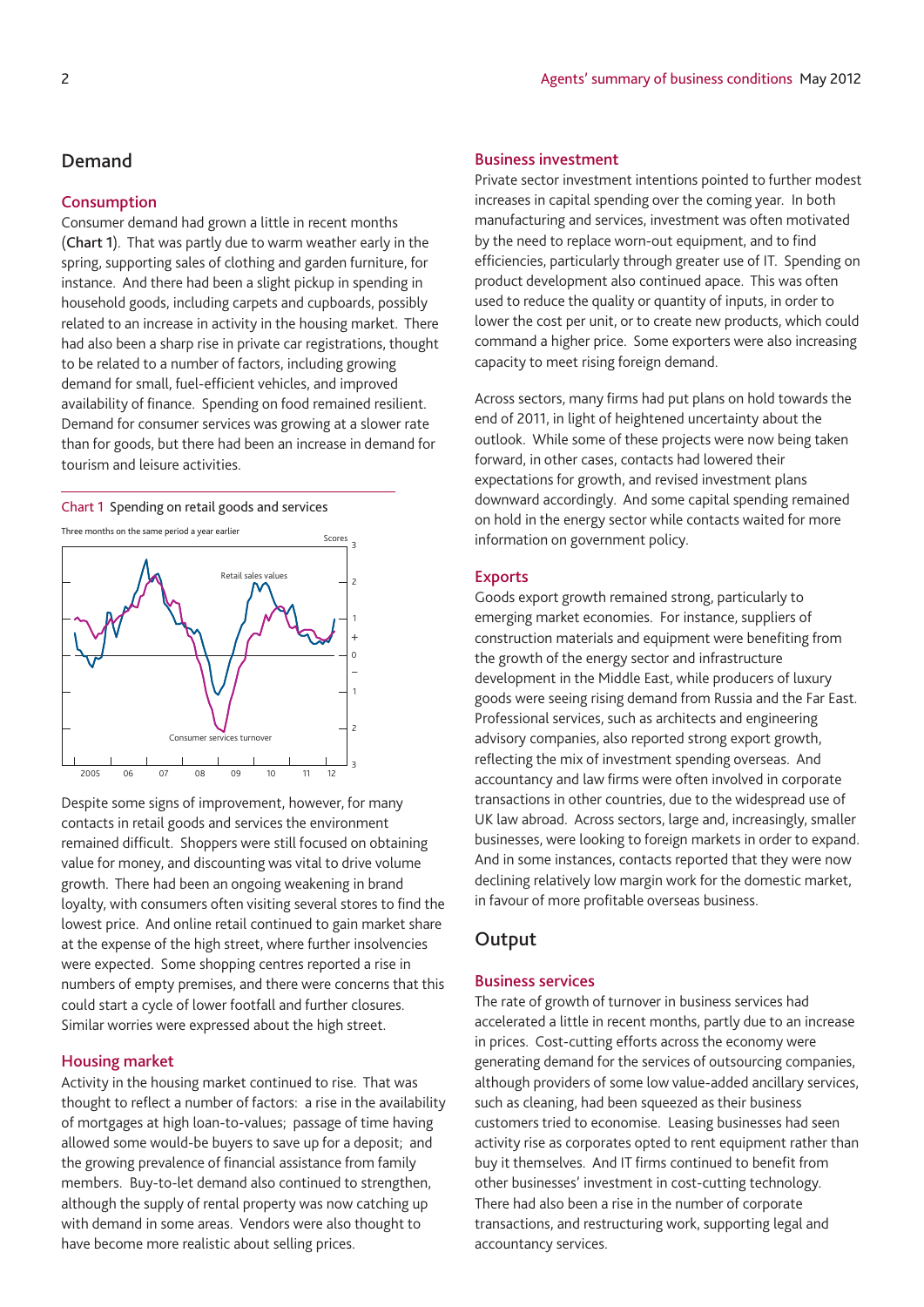# **Demand**

## **Consumption**

Consumer demand had grown a little in recent months (**Chart 1**). That was partly due to warm weather early in the spring, supporting sales of clothing and garden furniture, for instance. And there had been a slight pickup in spending in household goods, including carpets and cupboards, possibly related to an increase in activity in the housing market. There had also been a sharp rise in private car registrations, thought to be related to a number of factors, including growing demand for small, fuel-efficient vehicles, and improved availability of finance. Spending on food remained resilient. Demand for consumer services was growing at a slower rate than for goods, but there had been an increase in demand for tourism and leisure activities.

#### Chart 1 Spending on retail goods and services



Despite some signs of improvement, however, for many contacts in retail goods and services the environment remained difficult. Shoppers were still focused on obtaining value for money, and discounting was vital to drive volume growth. There had been an ongoing weakening in brand loyalty, with consumers often visiting several stores to find the lowest price. And online retail continued to gain market share at the expense of the high street, where further insolvencies were expected. Some shopping centres reported a rise in numbers of empty premises, and there were concerns that this could start a cycle of lower footfall and further closures. Similar worries were expressed about the high street.

## **Housing market**

Activity in the housing market continued to rise. That was thought to reflect a number of factors: a rise in the availability of mortgages at high loan-to-values; passage of time having allowed some would-be buyers to save up for a deposit; and the growing prevalence of financial assistance from family members. Buy-to-let demand also continued to strengthen, although the supply of rental property was now catching up with demand in some areas. Vendors were also thought to have become more realistic about selling prices.

## **Business investment**

Private sector investment intentions pointed to further modest increases in capital spending over the coming year. In both manufacturing and services, investment was often motivated by the need to replace worn-out equipment, and to find efficiencies, particularly through greater use of IT. Spending on product development also continued apace. This was often used to reduce the quality or quantity of inputs, in order to lower the cost per unit, or to create new products, which could command a higher price. Some exporters were also increasing capacity to meet rising foreign demand.

Across sectors, many firms had put plans on hold towards the end of 2011, in light of heightened uncertainty about the outlook. While some of these projects were now being taken forward, in other cases, contacts had lowered their expectations for growth, and revised investment plans downward accordingly. And some capital spending remained on hold in the energy sector while contacts waited for more information on government policy.

#### **Exports**

Goods export growth remained strong, particularly to emerging market economies. For instance, suppliers of construction materials and equipment were benefiting from the growth of the energy sector and infrastructure development in the Middle East, while producers of luxury goods were seeing rising demand from Russia and the Far East. Professional services, such as architects and engineering advisory companies, also reported strong export growth, reflecting the mix of investment spending overseas. And accountancy and law firms were often involved in corporate transactions in other countries, due to the widespread use of UK law abroad. Across sectors, large and, increasingly, smaller businesses, were looking to foreign markets in order to expand. And in some instances, contacts reported that they were now declining relatively low margin work for the domestic market, in favour of more profitable overseas business.

# **Output**

# **Business services**

The rate of growth of turnover in business services had accelerated a little in recent months, partly due to an increase in prices. Cost-cutting efforts across the economy were generating demand for the services of outsourcing companies, although providers of some low value-added ancillary services, such as cleaning, had been squeezed as their business customers tried to economise. Leasing businesses had seen activity rise as corporates opted to rent equipment rather than buy it themselves. And IT firms continued to benefit from other businesses' investment in cost-cutting technology. There had also been a rise in the number of corporate transactions, and restructuring work, supporting legal and accountancy services.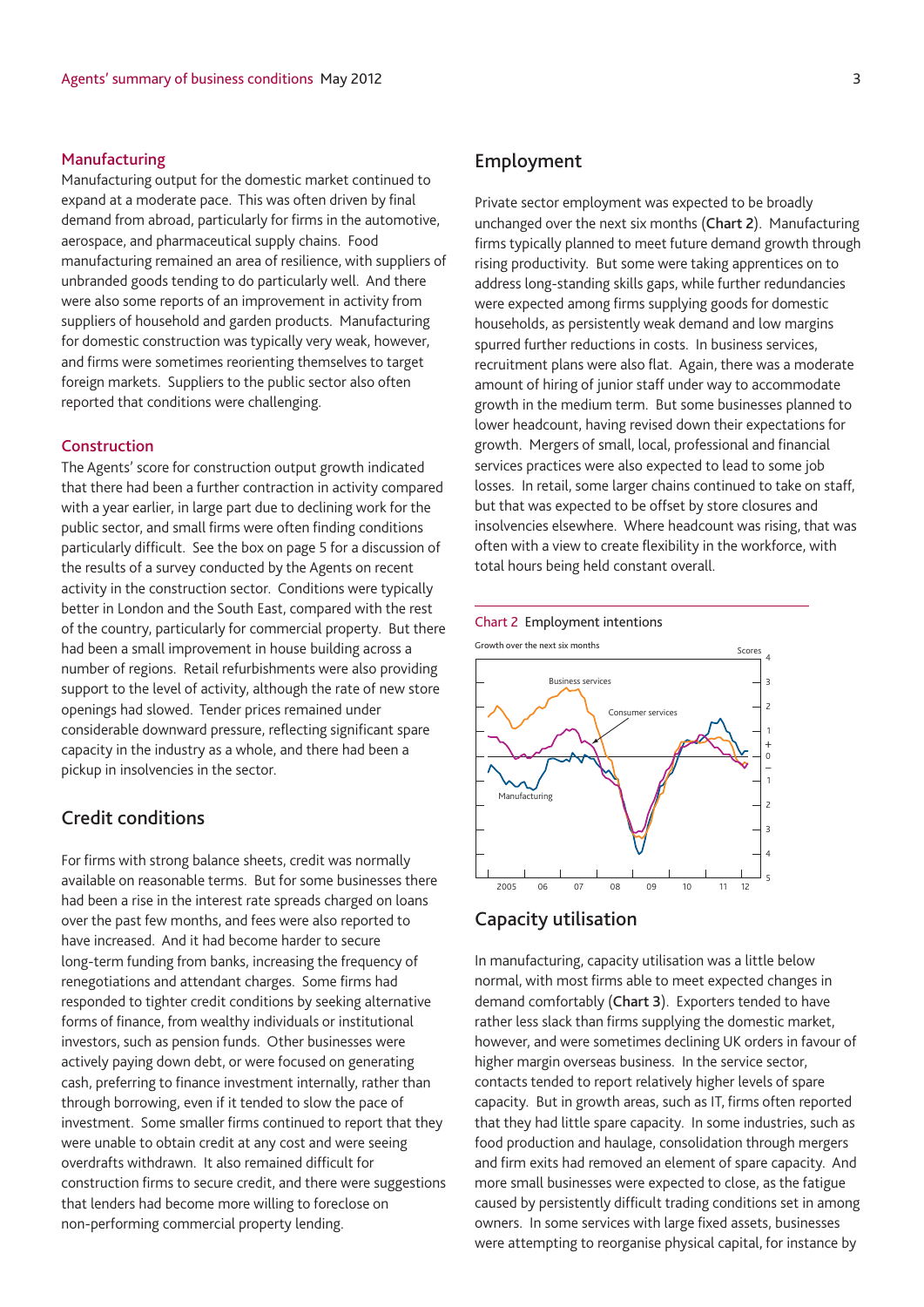## **Manufacturing**

Manufacturing output for the domestic market continued to expand at a moderate pace. This was often driven by final demand from abroad, particularly for firms in the automotive, aerospace, and pharmaceutical supply chains. Food manufacturing remained an area of resilience, with suppliers of unbranded goods tending to do particularly well. And there were also some reports of an improvement in activity from suppliers of household and garden products. Manufacturing for domestic construction was typically very weak, however, and firms were sometimes reorienting themselves to target foreign markets. Suppliers to the public sector also often reported that conditions were challenging.

#### **Construction**

The Agents' score for construction output growth indicated that there had been a further contraction in activity compared with a year earlier, in large part due to declining work for the public sector, and small firms were often finding conditions particularly difficult. See the box on page 5 for a discussion of the results of a survey conducted by the Agents on recent activity in the construction sector. Conditions were typically better in London and the South East, compared with the rest of the country, particularly for commercial property. But there had been a small improvement in house building across a number of regions. Retail refurbishments were also providing support to the level of activity, although the rate of new store openings had slowed. Tender prices remained under considerable downward pressure, reflecting significant spare capacity in the industry as a whole, and there had been a pickup in insolvencies in the sector.

# **Credit conditions**

For firms with strong balance sheets, credit was normally available on reasonable terms. But for some businesses there had been a rise in the interest rate spreads charged on loans over the past few months, and fees were also reported to have increased. And it had become harder to secure long-term funding from banks, increasing the frequency of renegotiations and attendant charges. Some firms had responded to tighter credit conditions by seeking alternative forms of finance, from wealthy individuals or institutional investors, such as pension funds. Other businesses were actively paying down debt, or were focused on generating cash, preferring to finance investment internally, rather than through borrowing, even if it tended to slow the pace of investment. Some smaller firms continued to report that they were unable to obtain credit at any cost and were seeing overdrafts withdrawn. It also remained difficult for construction firms to secure credit, and there were suggestions that lenders had become more willing to foreclose on non-performing commercial property lending.

# **Employment**

Private sector employment was expected to be broadly unchanged over the next six months (**Chart 2**). Manufacturing firms typically planned to meet future demand growth through rising productivity. But some were taking apprentices on to address long-standing skills gaps, while further redundancies were expected among firms supplying goods for domestic households, as persistently weak demand and low margins spurred further reductions in costs. In business services, recruitment plans were also flat. Again, there was a moderate amount of hiring of junior staff under way to accommodate growth in the medium term. But some businesses planned to lower headcount, having revised down their expectations for growth. Mergers of small, local, professional and financial services practices were also expected to lead to some job losses. In retail, some larger chains continued to take on staff, but that was expected to be offset by store closures and insolvencies elsewhere. Where headcount was rising, that was often with a view to create flexibility in the workforce, with total hours being held constant overall.





# **Capacity utilisation**

In manufacturing, capacity utilisation was a little below normal, with most firms able to meet expected changes in demand comfortably (**Chart 3**). Exporters tended to have rather less slack than firms supplying the domestic market, however, and were sometimes declining UK orders in favour of higher margin overseas business. In the service sector, contacts tended to report relatively higher levels of spare capacity. But in growth areas, such as IT, firms often reported that they had little spare capacity. In some industries, such as food production and haulage, consolidation through mergers and firm exits had removed an element of spare capacity. And more small businesses were expected to close, as the fatigue caused by persistently difficult trading conditions set in among owners. In some services with large fixed assets, businesses were attempting to reorganise physical capital, for instance by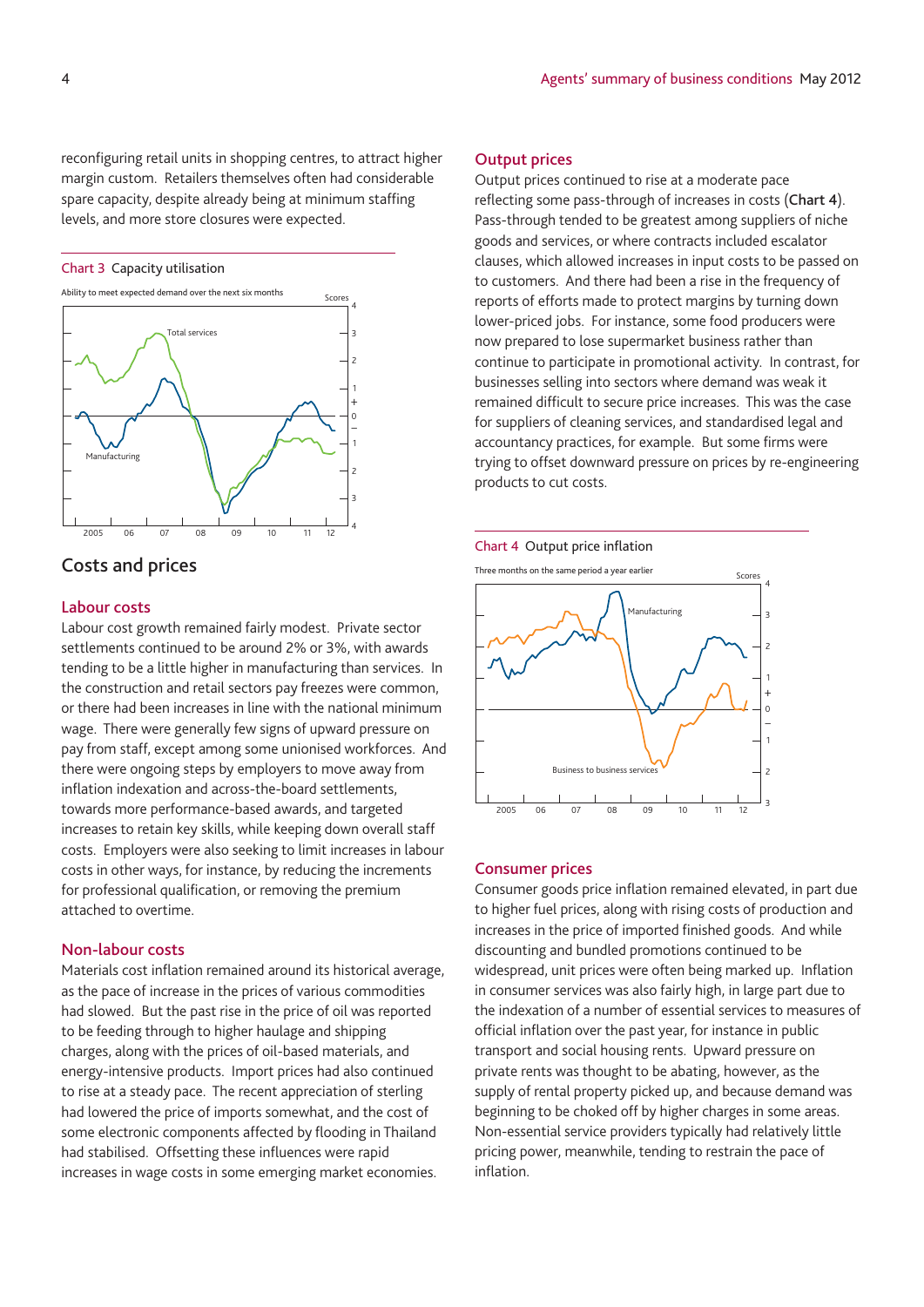reconfiguring retail units in shopping centres, to attract higher margin custom. Retailers themselves often had considerable spare capacity, despite already being at minimum staffing levels, and more store closures were expected.

#### Chart 3 Capacity utilisation



# **Costs and prices**

## **Labour costs**

Labour cost growth remained fairly modest. Private sector settlements continued to be around 2% or 3%, with awards tending to be a little higher in manufacturing than services. In the construction and retail sectors pay freezes were common, or there had been increases in line with the national minimum wage. There were generally few signs of upward pressure on pay from staff, except among some unionised workforces. And there were ongoing steps by employers to move away from inflation indexation and across-the-board settlements, towards more performance-based awards, and targeted increases to retain key skills, while keeping down overall staff costs. Employers were also seeking to limit increases in labour costs in other ways, for instance, by reducing the increments for professional qualification, or removing the premium attached to overtime.

### **Non-labour costs**

Materials cost inflation remained around its historical average, as the pace of increase in the prices of various commodities had slowed. But the past rise in the price of oil was reported to be feeding through to higher haulage and shipping charges, along with the prices of oil-based materials, and energy-intensive products. Import prices had also continued to rise at a steady pace. The recent appreciation of sterling had lowered the price of imports somewhat, and the cost of some electronic components affected by flooding in Thailand had stabilised. Offsetting these influences were rapid increases in wage costs in some emerging market economies.

# **Output prices**

Output prices continued to rise at a moderate pace reflecting some pass-through of increases in costs (**Chart 4**). Pass-through tended to be greatest among suppliers of niche goods and services, or where contracts included escalator clauses, which allowed increases in input costs to be passed on to customers. And there had been a rise in the frequency of reports of efforts made to protect margins by turning down lower-priced jobs. For instance, some food producers were now prepared to lose supermarket business rather than continue to participate in promotional activity. In contrast, for businesses selling into sectors where demand was weak it remained difficult to secure price increases. This was the case for suppliers of cleaning services, and standardised legal and accountancy practices, for example. But some firms were trying to offset downward pressure on prices by re-engineering products to cut costs.

#### Chart 4 Output price inflation



### **Consumer prices**

Consumer goods price inflation remained elevated, in part due to higher fuel prices, along with rising costs of production and increases in the price of imported finished goods. And while discounting and bundled promotions continued to be widespread, unit prices were often being marked up. Inflation in consumer services was also fairly high, in large part due to the indexation of a number of essential services to measures of official inflation over the past year, for instance in public transport and social housing rents. Upward pressure on private rents was thought to be abating, however, as the supply of rental property picked up, and because demand was beginning to be choked off by higher charges in some areas. Non-essential service providers typically had relatively little pricing power, meanwhile, tending to restrain the pace of inflation.